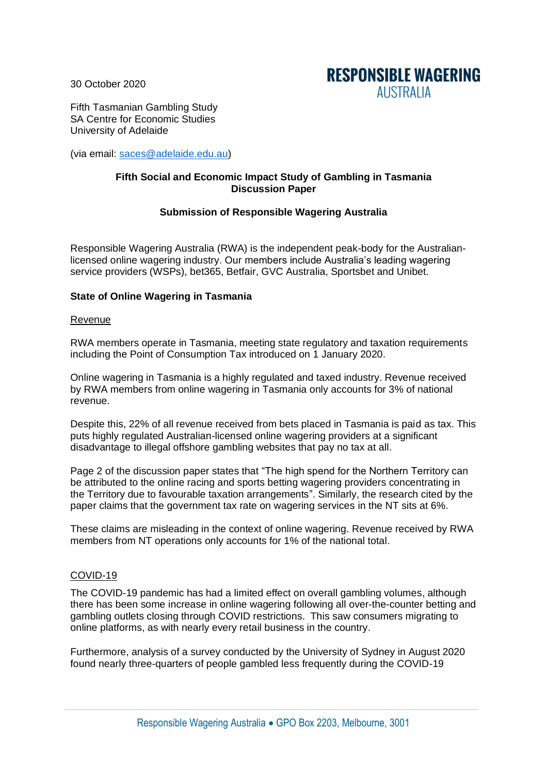30 October 2020



Fifth Tasmanian Gambling Study SA Centre for Economic Studies University of Adelaide

(via email: [saces@adelaide.edu.au\)](mailto:saces@adelaide.edu.au)

## **Fifth Social and Economic Impact Study of Gambling in Tasmania Discussion Paper**

# **Submission of Responsible Wagering Australia**

Responsible Wagering Australia (RWA) is the independent peak-body for the Australianlicensed online wagering industry. Our members include Australia's leading wagering service providers (WSPs), bet365, Betfair, GVC Australia, Sportsbet and Unibet.

## **State of Online Wagering in Tasmania**

#### Revenue

RWA members operate in Tasmania, meeting state regulatory and taxation requirements including the Point of Consumption Tax introduced on 1 January 2020.

Online wagering in Tasmania is a highly regulated and taxed industry. Revenue received by RWA members from online wagering in Tasmania only accounts for 3% of national revenue.

Despite this, 22% of all revenue received from bets placed in Tasmania is paid as tax. This puts highly regulated Australian-licensed online wagering providers at a significant disadvantage to illegal offshore gambling websites that pay no tax at all.

Page 2 of the discussion paper states that "The high spend for the Northern Territory can be attributed to the online racing and sports betting wagering providers concentrating in the Territory due to favourable taxation arrangements". Similarly, the research cited by the paper claims that the government tax rate on wagering services in the NT sits at 6%.

These claims are misleading in the context of online wagering. Revenue received by RWA members from NT operations only accounts for 1% of the national total.

## COVID-19

The COVID-19 pandemic has had a limited effect on overall gambling volumes, although there has been some increase in online wagering following all over-the-counter betting and gambling outlets closing through COVID restrictions. This saw consumers migrating to online platforms, as with nearly every retail business in the country.

Furthermore, analysis of a survey conducted by the University of Sydney in August 2020 found nearly three-quarters of people gambled less frequently during the COVID-19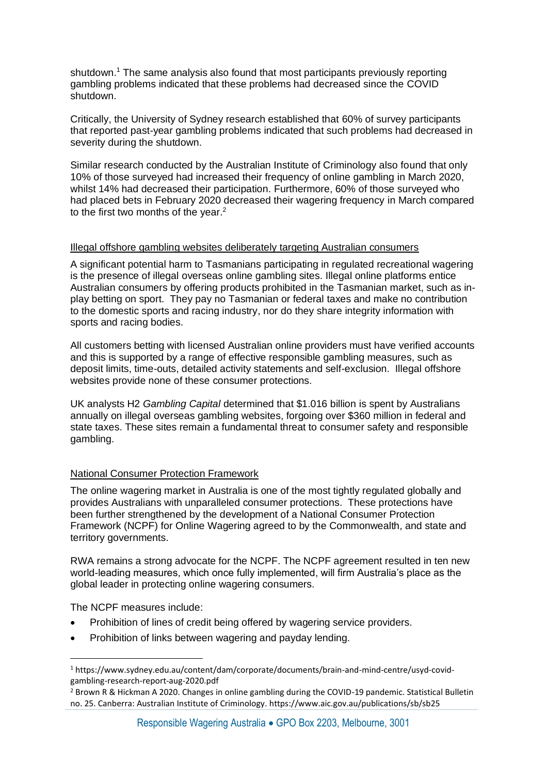shutdown.<sup>1</sup> The same analysis also found that most participants previously reporting gambling problems indicated that these problems had decreased since the COVID shutdown.

Critically, the University of Sydney research established that 60% of survey participants that reported past-year gambling problems indicated that such problems had decreased in severity during the shutdown.

Similar research conducted by the Australian Institute of Criminology also found that only 10% of those surveyed had increased their frequency of online gambling in March 2020, whilst 14% had decreased their participation. Furthermore, 60% of those surveyed who had placed bets in February 2020 decreased their wagering frequency in March compared to the first two months of the year.<sup>2</sup>

### Illegal offshore gambling websites deliberately targeting Australian consumers

A significant potential harm to Tasmanians participating in regulated recreational wagering is the presence of illegal overseas online gambling sites. Illegal online platforms entice Australian consumers by offering products prohibited in the Tasmanian market, such as inplay betting on sport. They pay no Tasmanian or federal taxes and make no contribution to the domestic sports and racing industry, nor do they share integrity information with sports and racing bodies.

All customers betting with licensed Australian online providers must have verified accounts and this is supported by a range of effective responsible gambling measures, such as deposit limits, time-outs, detailed activity statements and self-exclusion. Illegal offshore websites provide none of these consumer protections.

UK analysts H2 *Gambling Capital* determined that \$1.016 billion is spent by Australians annually on illegal overseas gambling websites, forgoing over \$360 million in federal and state taxes. These sites remain a fundamental threat to consumer safety and responsible gambling.

## National Consumer Protection Framework

The online wagering market in Australia is one of the most tightly regulated globally and provides Australians with unparalleled consumer protections. These protections have been further strengthened by the development of a National Consumer Protection Framework (NCPF) for Online Wagering agreed to by the Commonwealth, and state and territory governments.

RWA remains a strong advocate for the NCPF. The NCPF agreement resulted in ten new world-leading measures, which once fully implemented, will firm Australia's place as the global leader in protecting online wagering consumers.

The NCPF measures include:

- Prohibition of lines of credit being offered by wagering service providers.
- Prohibition of links between wagering and payday lending.

<sup>1</sup> https://www.sydney.edu.au/content/dam/corporate/documents/brain-and-mind-centre/usyd-covidgambling-research-report-aug-2020.pdf

<sup>2</sup> Brown R & Hickman A 2020. Changes in online gambling during the COVID-19 pandemic. Statistical Bulletin no. 25. Canberra: Australian Institute of Criminology. https://www.aic.gov.au/publications/sb/sb25